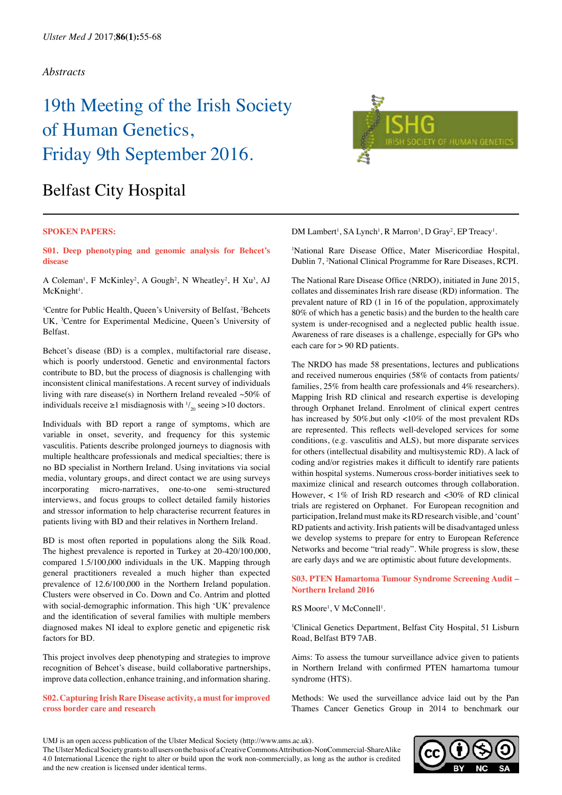# 19th Meeting of the Irish Society of Human Genetics, Friday 9th September 2016.

# Belfast City Hospital

#### **SPOKEN PAPERS:**

**S01. Deep phenotyping and genomic analysis for Behcet's disease**

A Coleman<sup>1</sup>, F McKinley<sup>2</sup>, A Gough<sup>2</sup>, N Wheatley<sup>2</sup>, H Xu<sup>3</sup>, AJ McKnight<sup>1</sup>.

<sup>1</sup>Centre for Public Health, Queen's University of Belfast, <sup>2</sup>Behcets UK, <sup>3</sup>Centre for Experimental Medicine, Queen's University of Belfast.

Behcet's disease (BD) is a complex, multifactorial rare disease, which is poorly understood. Genetic and environmental factors contribute to BD, but the process of diagnosis is challenging with inconsistent clinical manifestations. A recent survey of individuals living with rare disease(s) in Northern Ireland revealed  $~50\%$  of individuals receive  $\geq 1$  misdiagnosis with  $\frac{1}{20}$  seeing  $> 10$  doctors.

Individuals with BD report a range of symptoms, which are variable in onset, severity, and frequency for this systemic vasculitis. Patients describe prolonged journeys to diagnosis with multiple healthcare professionals and medical specialties; there is no BD specialist in Northern Ireland. Using invitations via social media, voluntary groups, and direct contact we are using surveys incorporating micro-narratives, one-to-one semi-structured interviews, and focus groups to collect detailed family histories and stressor information to help characterise recurrent features in patients living with BD and their relatives in Northern Ireland.

BD is most often reported in populations along the Silk Road. The highest prevalence is reported in Turkey at 20-420/100,000, compared 1.5/100,000 individuals in the UK. Mapping through general practitioners revealed a much higher than expected prevalence of 12.6/100,000 in the Northern Ireland population. Clusters were observed in Co. Down and Co. Antrim and plotted with social-demographic information. This high 'UK' prevalence and the identification of several families with multiple members diagnosed makes NI ideal to explore genetic and epigenetic risk factors for BD.

This project involves deep phenotyping and strategies to improve recognition of Behcet's disease, build collaborative partnerships, improve data collection, enhance training, and information sharing.

**S02. Capturing Irish Rare Disease activity, a must for improved cross border care and research**



DM Lambert<sup>1</sup>, SA Lynch<sup>1</sup>, R Marron<sup>1</sup>, D Gray<sup>2</sup>, EP Treacy<sup>1</sup>.

1 National Rare Disease Office, Mater Misericordiae Hospital, Dublin 7, 2 National Clinical Programme for Rare Diseases, RCPI.

The National Rare Disease Office (NRDO), initiated in June 2015, collates and disseminates Irish rare disease (RD) information. The prevalent nature of RD (1 in 16 of the population, approximately 80% of which has a genetic basis) and the burden to the health care system is under-recognised and a neglected public health issue. Awareness of rare diseases is a challenge, especially for GPs who each care for > 90 RD patients.

The NRDO has made 58 presentations, lectures and publications and received numerous enquiries (58% of contacts from patients/ families, 25% from health care professionals and 4% researchers). Mapping Irish RD clinical and research expertise is developing through Orphanet Ireland. Enrolment of clinical expert centres has increased by 50%,but only <10% of the most prevalent RDs are represented. This reflects well-developed services for some conditions, (e.g. vasculitis and ALS), but more disparate services for others (intellectual disability and multisystemic RD). A lack of coding and/or registries makes it difficult to identify rare patients within hospital systems. Numerous cross-border initiatives seek to maximize clinical and research outcomes through collaboration. However,  $< 1\%$  of Irish RD research and  $< 30\%$  of RD clinical trials are registered on Orphanet. For European recognition and participation, Ireland must make its RD research visible, and 'count' RD patients and activity. Irish patients will be disadvantaged unless we develop systems to prepare for entry to European Reference Networks and become "trial ready". While progress is slow, these are early days and we are optimistic about future developments.

**S03. PTEN Hamartoma Tumour Syndrome Screening Audit – Northern Ireland 2016**

RS Moore<sup>1</sup>, V McConnell<sup>1</sup>.

1 Clinical Genetics Department, Belfast City Hospital, 51 Lisburn Road, Belfast BT9 7AB.

Aims: To assess the tumour surveillance advice given to patients in Northern Ireland with confirmed PTEN hamartoma tumour syndrome (HTS).

Methods: We used the surveillance advice laid out by the Pan Thames Cancer Genetics Group in 2014 to benchmark our



UMJ is an open access publication of the Ulster Medical Society (http://www.ums.ac.uk).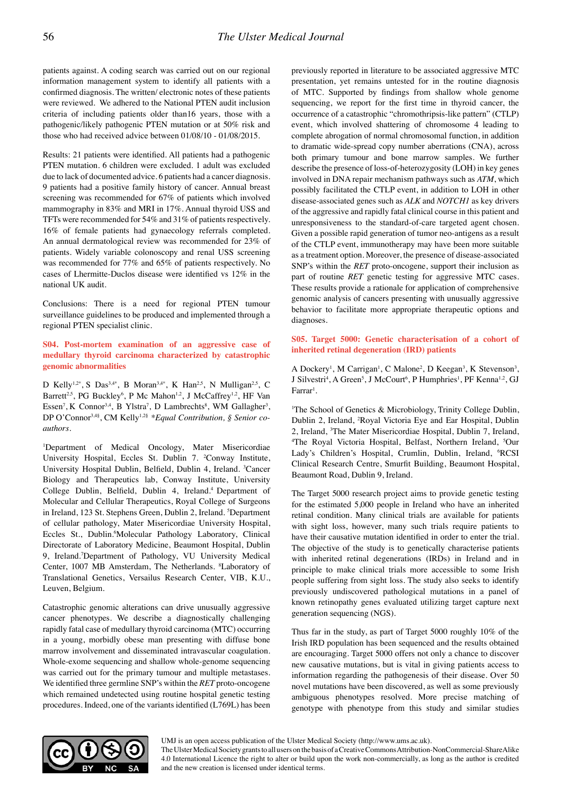patients against. A coding search was carried out on our regional information management system to identify all patients with a confirmed diagnosis. The written/ electronic notes of these patients were reviewed. We adhered to the National PTEN audit inclusion criteria of including patients older than16 years, those with a pathogenic/likely pathogenic PTEN mutation or at 50% risk and those who had received advice between 01/08/10 - 01/08/2015.

Results: 21 patients were identified. All patients had a pathogenic PTEN mutation. 6 children were excluded. 1 adult was excluded due to lack of documented advice. 6 patients had a cancer diagnosis. 9 patients had a positive family history of cancer. Annual breast screening was recommended for 67% of patients which involved mammography in 83% and MRI in 17%. Annual thyroid USS and TFTs were recommended for 54% and 31% of patients respectively. 16% of female patients had gynaecology referrals completed. An annual dermatological review was recommended for 23% of patients. Widely variable colonoscopy and renal USS screening was recommended for 77% and 65% of patients respectively. No cases of Lhermitte-Duclos disease were identified vs 12% in the national UK audit.

Conclusions: There is a need for regional PTEN tumour surveillance guidelines to be produced and implemented through a regional PTEN specialist clinic.

# **S04. Post-mortem examination of an aggressive case of medullary thyroid carcinoma characterized by catastrophic genomic abnormalities**

D Kelly<sup>1,2\*</sup>, S Das<sup>3,4\*</sup>, B Moran<sup>3,4\*</sup>, K Han<sup>2,5</sup>, N Mulligan<sup>2,5</sup>, C Barrett<sup>2,5</sup>, PG Buckley<sup>6</sup>, P Mc Mahon<sup>1,2</sup>, J McCaffrey<sup>1,2</sup>, HF Van Essen<sup>7</sup>, K Connor<sup>3,4</sup>, B Ylstra<sup>7</sup>, D Lambrechts<sup>8</sup>, WM Gallagher<sup>3</sup>, DP O'Connor<sup>3,4§</sup>, CM Kelly<sup>1,2§</sup> \*Equal Contribution, § Senior co*authors.*

1 Department of Medical Oncology, Mater Misericordiae University Hospital, Eccles St. Dublin 7. <sup>2</sup>Conway Institute, University Hospital Dublin, Belfield, Dublin 4, Ireland. <sup>3</sup>Cancer Biology and Therapeutics lab, Conway Institute, University College Dublin, Belfield, Dublin 4, Ireland.4 Department of Molecular and Cellular Therapeutics, Royal College of Surgeons in Ireland, 123 St. Stephens Green, Dublin 2, Ireland. <sup>5</sup>Department of cellular pathology, Mater Misericordiae University Hospital, Eccles St., Dublin.<sup>6</sup>Molecular Pathology Laboratory, Clinical Directorate of Laboratory Medicine, Beaumont Hospital, Dublin 9, Ireland.7 Department of Pathology, VU University Medical Center, 1007 MB Amsterdam, The Netherlands. 8 Laboratory of Translational Genetics, Versailus Research Center, VIB, K.U., Leuven, Belgium.

Catastrophic genomic alterations can drive unusually aggressive cancer phenotypes. We describe a diagnostically challenging rapidly fatal case of medullary thyroid carcinoma (MTC) occurring in a young, morbidly obese man presenting with diffuse bone marrow involvement and disseminated intravascular coagulation. Whole-exome sequencing and shallow whole-genome sequencing was carried out for the primary tumour and multiple metastases. We identified three germline SNP's within the *RET* proto-oncogene which remained undetected using routine hospital genetic testing procedures. Indeed, one of the variants identified (L769L) has been previously reported in literature to be associated aggressive MTC presentation, yet remains untested for in the routine diagnosis of MTC. Supported by findings from shallow whole genome sequencing, we report for the first time in thyroid cancer, the occurrence of a catastrophic "chromothripsis-like pattern" (CTLP) event, which involved shattering of chromosome 4 leading to complete abrogation of normal chromosomal function, in addition to dramatic wide-spread copy number aberrations (CNA), across both primary tumour and bone marrow samples. We further describe the presence of loss-of-heterozygosity (LOH) in key genes involved in DNA repair mechanism pathways such as *ATM*, which possibly facilitated the CTLP event, in addition to LOH in other disease-associated genes such as *ALK* and *NOTCH1* as key drivers of the aggressive and rapidly fatal clinical course in this patient and unresponsiveness to the standard-of-care targeted agent chosen. Given a possible rapid generation of tumor neo-antigens as a result of the CTLP event, immunotherapy may have been more suitable as a treatment option. Moreover, the presence of disease-associated SNP's within the *RET* proto-oncogene, support their inclusion as part of routine *RET* genetic testing for aggressive MTC cases. These results provide a rationale for application of comprehensive genomic analysis of cancers presenting with unusually aggressive behavior to facilitate more appropriate therapeutic options and diagnoses.

# **S05. Target 5000: Genetic characterisation of a cohort of inherited retinal degeneration (IRD) patients**

A Dockery<sup>1</sup>, M Carrigan<sup>1</sup>, C Malone<sup>2</sup>, D Keegan<sup>3</sup>, K Stevenson<sup>3</sup>, J Silvestri<sup>4</sup>, A Green<sup>5</sup>, J McCourt<sup>6</sup>, P Humphries<sup>1</sup>, PF Kenna<sup>1,2</sup>, GJ  $\rm {Farrar}^{\rm 1}$ .

<sup>1</sup>The School of Genetics & Microbiology, Trinity College Dublin, Dublin 2, Ireland, 2 Royal Victoria Eye and Ear Hospital, Dublin 2, Ireland, <sup>3</sup>The Mater Misericordiae Hospital, Dublin 7, Ireland, <sup>4</sup>The Royal Victoria Hospital, Belfast, Northern Ireland, <sup>5</sup>Our The Royal Victoria Hospital, Belfast, Northern Ireland, <sup>5</sup>Our Lady's Children's Hospital, Crumlin, Dublin, Ireland, <sup>6</sup>RCSI Clinical Research Centre, Smurfit Building, Beaumont Hospital, Beaumont Road, Dublin 9, Ireland.

The Target 5000 research project aims to provide genetic testing for the estimated 5,000 people in Ireland who have an inherited retinal condition. Many clinical trials are available for patients with sight loss, however, many such trials require patients to have their causative mutation identified in order to enter the trial. The objective of the study is to genetically characterise patients with inherited retinal degenerations (IRDs) in Ireland and in principle to make clinical trials more accessible to some Irish people suffering from sight loss. The study also seeks to identify previously undiscovered pathological mutations in a panel of known retinopathy genes evaluated utilizing target capture next generation sequencing (NGS).

Thus far in the study, as part of Target 5000 roughly 10% of the Irish IRD population has been sequenced and the results obtained are encouraging. Target 5000 offers not only a chance to discover new causative mutations, but is vital in giving patients access to information regarding the pathogenesis of their disease. Over 50 novel mutations have been discovered, as well as some previously ambiguous phenotypes resolved. More precise matching of genotype with phenotype from this study and similar studies



UMJ is an open access publication of the Ulster Medical Society (http://www.ums.ac.uk).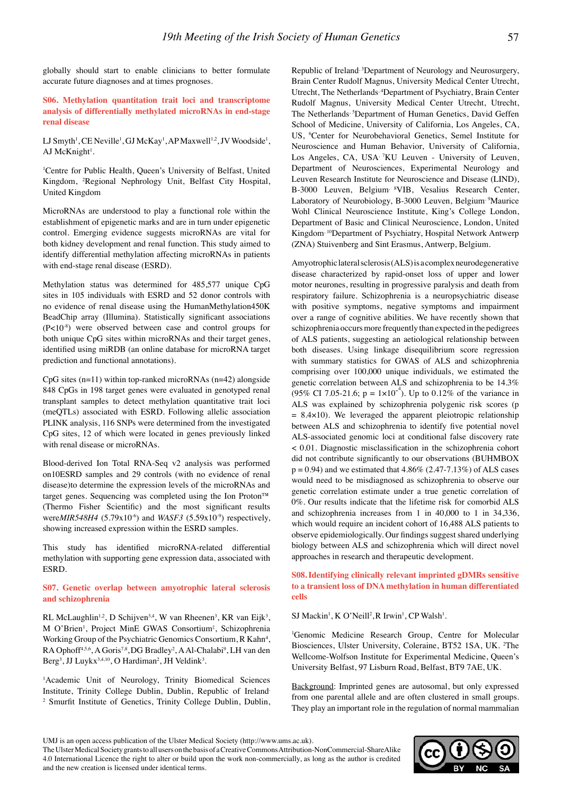globally should start to enable clinicians to better formulate accurate future diagnoses and at times prognoses.

**S06. Methylation quantitation trait loci and transcriptome analysis of differentially methylated microRNAs in end-stage renal disease**

LJ Smyth<sup>1</sup>, CE Neville<sup>1</sup>, GJ McKay<sup>1</sup>, AP Maxwell<sup>1,2</sup>, JV Woodside<sup>1</sup>, AJ McKnight<sup>1</sup>.

1 Centre for Public Health, Queen's University of Belfast, United Kingdom, 2 Regional Nephrology Unit, Belfast City Hospital, United Kingdom

MicroRNAs are understood to play a functional role within the establishment of epigenetic marks and are in turn under epigenetic control. Emerging evidence suggests microRNAs are vital for both kidney development and renal function. This study aimed to identify differential methylation affecting microRNAs in patients with end-stage renal disease (ESRD).

Methylation status was determined for 485,577 unique CpG sites in 105 individuals with ESRD and 52 donor controls with no evidence of renal disease using the HumanMethylation450K BeadChip array (Illumina). Statistically significant associations (P<10-8) were observed between case and control groups for both unique CpG sites within microRNAs and their target genes, identified using miRDB (an online database for microRNA target prediction and functional annotations).

 $CpG$  sites (n=11) within top-ranked microRNAs (n=42) alongside 848 CpGs in 198 target genes were evaluated in genotyped renal transplant samples to detect methylation quantitative trait loci (meQTLs) associated with ESRD. Following allelic association PLINK analysis, 116 SNPs were determined from the investigated CpG sites, 12 of which were located in genes previously linked with renal disease or microRNAs.

Blood-derived Ion Total RNA-Seq v2 analysis was performed on10ESRD samples and 29 controls (with no evidence of renal disease)to determine the expression levels of the microRNAs and target genes. Sequencing was completed using the Ion Proton™ (Thermo Fisher Scientific) and the most significant results were*MIR548H4* (5.79x10<sup>-6</sup>) and *WASF3* (5.59x10<sup>-9</sup>) respectively, showing increased expression within the ESRD samples.

This study has identified microRNA-related differential methylation with supporting gene expression data, associated with ESRD.

#### **S07. Genetic overlap between amyotrophic lateral sclerosis and schizophrenia**

RL McLaughlin<sup>1,2</sup>, D Schijven<sup>3,4</sup>, W van Rheenen<sup>3</sup>, KR van Eijk<sup>3</sup>, M O'Brien<sup>1</sup>, Project MinE GWAS Consortium<sup>‡</sup>, Schizophrenia Working Group of the Psychiatric Genomics Consortium, R Kahn<sup>4</sup>, RA Ophoff<sup>4,5,6</sup>, A Goris<sup>7,8</sup>, DG Bradley<sup>2</sup>, A Al-Chalabi<sup>9</sup>, LH van den Berg<sup>3</sup>, JJ Luykx<sup>3,4,10</sup>, O Hardiman<sup>2</sup>, JH Veldink<sup>3</sup>.

<sup>1</sup>Academic Unit of Neurology, Trinity Biomedical Sciences Institute, Trinity College Dublin, Dublin, Republic of Ireland, 2 Smurfit Institute of Genetics, Trinity College Dublin, Dublin, Republic of Ireland, 3Department of Neurology and Neurosurgery, Brain Center Rudolf Magnus, University Medical Center Utrecht, Utrecht, The Netherlands, 4Department of Psychiatry, Brain Center Rudolf Magnus, University Medical Center Utrecht, Utrecht, The Netherlands, <sup>5</sup>Department of Human Genetics, David Geffen School of Medicine, University of California, Los Angeles, CA, US, <sup>6</sup>Center for Neurobehavioral Genetics, Semel Institute for Neuroscience and Human Behavior, University of California, Los Angeles, CA, USA<sup>, 7</sup>KU Leuven - University of Leuven, Department of Neurosciences, Experimental Neurology and Leuven Research Institute for Neuroscience and Disease (LIND), B-3000 Leuven, Belgium, 8VIB, Vesalius Research Center, Laboratory of Neurobiology, B-3000 Leuven, Belgium<sup>, 9</sup>Maurice Wohl Clinical Neuroscience Institute, King's College London, Department of Basic and Clinical Neuroscience, London, United Kingdom, 10Department of Psychiatry, Hospital Network Antwerp (ZNA) Stuivenberg and Sint Erasmus, Antwerp, Belgium.

Amyotrophic lateral sclerosis (ALS) is a complex neurodegenerative disease characterized by rapid-onset loss of upper and lower motor neurones, resulting in progressive paralysis and death from respiratory failure. Schizophrenia is a neuropsychiatric disease with positive symptoms, negative symptoms and impairment over a range of cognitive abilities. We have recently shown that schizophrenia occurs more frequently than expected in the pedigrees of ALS patients, suggesting an aetiological relationship between both diseases. Using linkage disequilibrium score regression with summary statistics for GWAS of ALS and schizophrenia comprising over 100,000 unique individuals, we estimated the genetic correlation between ALS and schizophrenia to be 14.3% (95% CI 7.05-21.6;  $p = 1 \times 10^{-4}$ ). Up to 0.12% of the variance in ALS was explained by schizophrenia polygenic risk scores (p  $= 8.4 \times 10$ ). We leveraged the apparent pleiotropic relationship between ALS and schizophrenia to identify five potential novel ALS-associated genomic loci at conditional false discovery rate < 0.01. Diagnostic misclassification in the schizophrenia cohort did not contribute significantly to our observations (BUHMBOX  $p = 0.94$ ) and we estimated that 4.86% (2.47-7.13%) of ALS cases would need to be misdiagnosed as schizophrenia to observe our genetic correlation estimate under a true genetic correlation of 0%. Our results indicate that the lifetime risk for comorbid ALS and schizophrenia increases from 1 in 40,000 to 1 in 34,336, which would require an incident cohort of 16,488 ALS patients to observe epidemiologically. Our findings suggest shared underlying biology between ALS and schizophrenia which will direct novel approaches in research and therapeutic development.

# **S08.Identifying clinically relevant imprinted gDMRs sensitive to a transient loss of DNA methylation in human differentiated cells**

 $SI$  Mackin<sup>1</sup>, K O'Neill<sup>2</sup>, R Irwin<sup>1</sup>, CP Walsh<sup>1</sup>.

1 Genomic Medicine Research Group, Centre for Molecular Biosciences, Ulster University, Coleraine, BT52 1SA, UK. 2 The Wellcome-Wolfson Institute for Experimental Medicine, Queen's University Belfast, 97 Lisburn Road, Belfast, BT9 7AE, UK.

Background: Imprinted genes are autosomal, but only expressed from one parental allele and are often clustered in small groups. They play an important role in the regulation of normal mammalian



UMJ is an open access publication of the Ulster Medical Society (http://www.ums.ac.uk).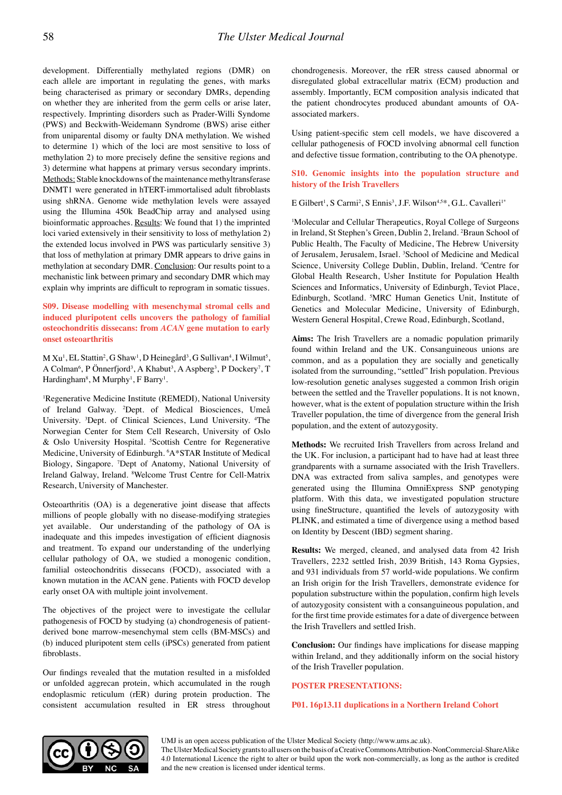development. Differentially methylated regions (DMR) on each allele are important in regulating the genes, with marks being characterised as primary or secondary DMRs, depending on whether they are inherited from the germ cells or arise later, respectively. Imprinting disorders such as Prader-Willi Syndome (PWS) and Beckwith-Weidemann Syndrome (BWS) arise either from uniparental disomy or faulty DNA methylation. We wished to determine 1) which of the loci are most sensitive to loss of methylation 2) to more precisely define the sensitive regions and 3) determine what happens at primary versus secondary imprints. Methods: Stable knockdowns of the maintenance methyltransferase DNMT1 were generated in hTERT-immortalised adult fibroblasts using shRNA. Genome wide methylation levels were assayed using the Illumina 450k BeadChip array and analysed using bioinformatic approaches. Results: We found that 1) the imprinted loci varied extensively in their sensitivity to loss of methylation 2) the extended locus involved in PWS was particularly sensitive 3) that loss of methylation at primary DMR appears to drive gains in methylation at secondary DMR. Conclusion: Our results point to a mechanistic link between primary and secondary DMR which may explain why imprints are difficult to reprogram in somatic tissues.

**S09. Disease modelling with mesenchymal stromal cells and induced pluripotent cells uncovers the pathology of familial osteochondritis dissecans: from** *ACAN* **gene mutation to early onset osteoarthritis**

M Xu<sup>1</sup>, EL Stattin<sup>2</sup>, G Shaw<sup>1</sup>, D Heinegård<sup>3</sup>, G Sullivan<sup>4</sup>, I Wilmut<sup>5</sup>, A Colman<sup>6</sup>, P Önnerfjord<sup>3</sup>, A Khabut<sup>3</sup>, A Aspberg<sup>3</sup>, P Dockery<sup>7</sup>, T Hardingham<sup>8</sup>, M Murphy<sup>1</sup>, F Barry<sup>1</sup>.

1 Regenerative Medicine Institute (REMEDI), National University of Ireland Galway. 2 Dept. of Medical Biosciences, Umeå University. <sup>3</sup>Dept. of Clinical Sciences, Lund University. <sup>4</sup>The Norwegian Center for Stem Cell Research, University of Oslo & Oslo University Hospital. <sup>5</sup>Scottish Centre for Regenerative Medicine, University of Edinburgh. 6 A\*STAR Institute of Medical Biology, Singapore. 7 Dept of Anatomy, National University of Ireland Galway, Ireland. <sup>8</sup>Welcome Trust Centre for Cell-Matrix Research, University of Manchester.

Osteoarthritis (OA) is a degenerative joint disease that affects millions of people globally with no disease-modifying strategies yet available. Our understanding of the pathology of OA is inadequate and this impedes investigation of efficient diagnosis and treatment. To expand our understanding of the underlying cellular pathology of OA, we studied a monogenic condition, familial osteochondritis dissecans (FOCD), associated with a known mutation in the ACAN gene. Patients with FOCD develop early onset OA with multiple joint involvement.

The objectives of the project were to investigate the cellular pathogenesis of FOCD by studying (a) chondrogenesis of patientderived bone marrow-mesenchymal stem cells (BM-MSCs) and (b) induced pluripotent stem cells (iPSCs) generated from patient fibroblasts.

Our findings revealed that the mutation resulted in a misfolded or unfolded aggrecan protein, which accumulated in the rough endoplasmic reticulum (rER) during protein production. The consistent accumulation resulted in ER stress throughout chondrogenesis. Moreover, the rER stress caused abnormal or disregulated global extracellular matrix (ECM) production and assembly. Importantly, ECM composition analysis indicated that the patient chondrocytes produced abundant amounts of OAassociated markers.

Using patient-specific stem cell models, we have discovered a cellular pathogenesis of FOCD involving abnormal cell function and defective tissue formation, contributing to the OA phenotype*.*

#### **S10. Genomic insights into the population structure and history of the Irish Travellers**

E Gilbert<sup>1</sup>, S Carmi<sup>2</sup>, S Ennis<sup>3</sup>, J.F. Wilson<sup>4,5\*</sup>, G.L. Cavalleri<sup>1\*</sup>

1 Molecular and Cellular Therapeutics, Royal College of Surgeons in Ireland, St Stephen's Green, Dublin 2, Ireland. 2 Braun School of Public Health, The Faculty of Medicine, The Hebrew University of Jerusalem, Jerusalem, Israel. <sup>3</sup>School of Medicine and Medical Science, University College Dublin, Dublin, Ireland. 4 Centre for Global Health Research, Usher Institute for Population Health Sciences and Informatics, University of Edinburgh, Teviot Place, Edinburgh, Scotland. <sup>5</sup>MRC Human Genetics Unit, Institute of Genetics and Molecular Medicine, University of Edinburgh, Western General Hospital, Crewe Road, Edinburgh, Scotland,

**Aims:** The Irish Travellers are a nomadic population primarily found within Ireland and the UK. Consanguineous unions are common, and as a population they are socially and genetically isolated from the surrounding, "settled" Irish population. Previous low-resolution genetic analyses suggested a common Irish origin between the settled and the Traveller populations. It is not known, however, what is the extent of population structure within the Irish Traveller population, the time of divergence from the general Irish population, and the extent of autozygosity.

**Methods:** We recruited Irish Travellers from across Ireland and the UK. For inclusion, a participant had to have had at least three grandparents with a surname associated with the Irish Travellers. DNA was extracted from saliva samples, and genotypes were generated using the Illumina OmniExpress SNP genotyping platform. With this data, we investigated population structure using fineStructure, quantified the levels of autozygosity with PLINK, and estimated a time of divergence using a method based on Identity by Descent (IBD) segment sharing.

**Results:** We merged, cleaned, and analysed data from 42 Irish Travellers, 2232 settled Irish, 2039 British, 143 Roma Gypsies, and 931 individuals from 57 world-wide populations. We confirm an Irish origin for the Irish Travellers, demonstrate evidence for population substructure within the population, confirm high levels of autozygosity consistent with a consanguineous population, and for the first time provide estimates for a date of divergence between the Irish Travellers and settled Irish.

**Conclusion:** Our findings have implications for disease mapping within Ireland, and they additionally inform on the social history of the Irish Traveller population.

#### **POSTER PRESENTATIONS:**

**P01. 16p13.11 duplications in a Northern Ireland Cohort**



UMJ is an open access publication of the Ulster Medical Society (http://www.ums.ac.uk).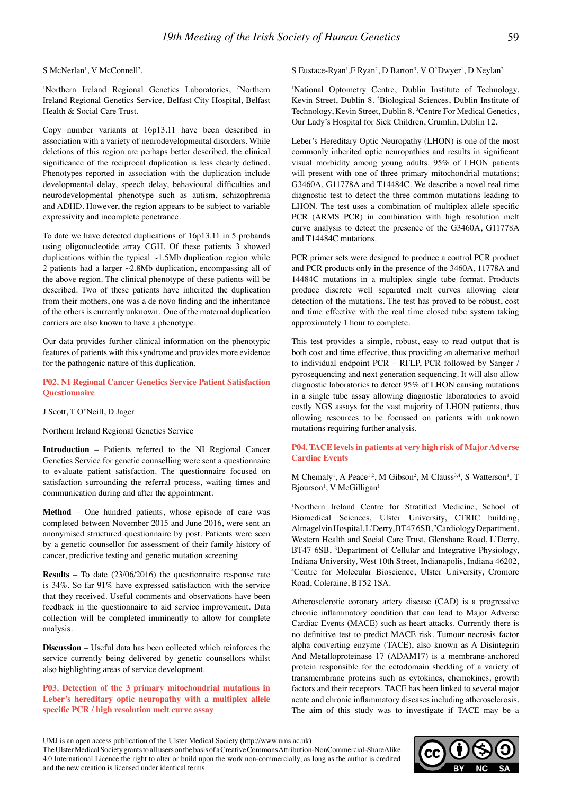S McNerlan<sup>1</sup>, V McConnell<sup>2</sup>.

<sup>1</sup>Northern Ireland Regional Genetics Laboratories, <sup>2</sup>Northern Ireland Regional Genetics Service, Belfast City Hospital, Belfast Health & Social Care Trust.

Copy number variants at 16p13.11 have been described in association with a variety of neurodevelopmental disorders. While deletions of this region are perhaps better described, the clinical significance of the reciprocal duplication is less clearly defined. Phenotypes reported in association with the duplication include developmental delay, speech delay, behavioural difficulties and neurodevelopmental phenotype such as autism, schizophrenia and ADHD. However, the region appears to be subject to variable expressivity and incomplete penetrance.

To date we have detected duplications of 16p13.11 in 5 probands using oligonucleotide array CGH. Of these patients 3 showed duplications within the typical  $\sim$ 1.5Mb duplication region while 2 patients had a larger ~2.8Mb duplication, encompassing all of the above region. The clinical phenotype of these patients will be described. Two of these patients have inherited the duplication from their mothers, one was a de novo finding and the inheritance of the others is currently unknown. One of the maternal duplication carriers are also known to have a phenotype.

Our data provides further clinical information on the phenotypic features of patients with this syndrome and provides more evidence for the pathogenic nature of this duplication.

**P02. NI Regional Cancer Genetics Service Patient Satisfaction Questionnaire**

J Scott, T O'Neill, D Jager

Northern Ireland Regional Genetics Service

**Introduction** – Patients referred to the NI Regional Cancer Genetics Service for genetic counselling were sent a questionnaire to evaluate patient satisfaction. The questionnaire focused on satisfaction surrounding the referral process, waiting times and communication during and after the appointment.

**Method** – One hundred patients, whose episode of care was completed between November 2015 and June 2016, were sent an anonymised structured questionnaire by post. Patients were seen by a genetic counsellor for assessment of their family history of cancer, predictive testing and genetic mutation screening

**Results** – To date (23/06/2016) the questionnaire response rate is 34%. So far 91% have expressed satisfaction with the service that they received. Useful comments and observations have been feedback in the questionnaire to aid service improvement. Data collection will be completed imminently to allow for complete analysis.

**Discussion** – Useful data has been collected which reinforces the service currently being delivered by genetic counsellors whilst also highlighting areas of service development.

**P03. Detection of the 3 primary mitochondrial mutations in Leber's hereditary optic neuropathy with a multiplex allele specific PCR / high resolution melt curve assay**

S Eustace-Ryan<sup>1</sup>, F Ryan<sup>2</sup>, D Barton<sup>3</sup>, V O'Dwyer<sup>1</sup>, D Neylan<sup>2</sup>

1 National Optometry Centre, Dublin Institute of Technology, Kevin Street, Dublin 8. 2 Biological Sciences, Dublin Institute of Technology, Kevin Street, Dublin 8. 3 Centre For Medical Genetics, Our Lady's Hospital for Sick Children, Crumlin, Dublin 12.

Leber's Hereditary Optic Neuropathy (LHON) is one of the most commonly inherited optic neuropathies and results in significant visual morbidity among young adults. 95% of LHON patients will present with one of three primary mitochondrial mutations; G3460A, G11778A and T14484C. We describe a novel real time diagnostic test to detect the three common mutations leading to LHON. The test uses a combination of multiplex allele specific PCR (ARMS PCR) in combination with high resolution melt curve analysis to detect the presence of the G3460A, G11778A and T14484C mutations.

PCR primer sets were designed to produce a control PCR product and PCR products only in the presence of the 3460A, 11778A and 14484C mutations in a multiplex single tube format. Products produce discrete well separated melt curves allowing clear detection of the mutations. The test has proved to be robust, cost and time effective with the real time closed tube system taking approximately 1 hour to complete.

This test provides a simple, robust, easy to read output that is both cost and time effective, thus providing an alternative method to individual endpoint PCR – RFLP, PCR followed by Sanger / pyrosequencing and next generation sequencing. It will also allow diagnostic laboratories to detect 95% of LHON causing mutations in a single tube assay allowing diagnostic laboratories to avoid costly NGS assays for the vast majority of LHON patients, thus allowing resources to be focussed on patients with unknown mutations requiring further analysis.

**P04. TACE levels in patients at very high risk of Major Adverse Cardiac Events**

M Chemaly<sup>1</sup>, A Peace<sup>1,2</sup>, M Gibson<sup>2</sup>, M Clauss<sup>3,4</sup>, S Watterson<sup>1</sup>, T Bjourson<sup>1</sup>, V McGilligan<sup>1</sup>

1 Northern Ireland Centre for Stratified Medicine, School of Biomedical Sciences, Ulster University, CTRIC building, Altnagelvin Hospital, L'Derry, BT47 6SB, 2 Cardiology Department, Western Health and Social Care Trust, Glenshane Road, L'Derry, BT47 6SB, <sup>3</sup>Department of Cellular and Integrative Physiology, Indiana University, West 10th Street, Indianapolis, Indiana 46202, 4 Centre for Molecular Bioscience, Ulster University, Cromore Road, Coleraine, BT52 1SA.

Atherosclerotic coronary artery disease (CAD) is a progressive chronic inflammatory condition that can lead to Major Adverse Cardiac Events (MACE) such as heart attacks. Currently there is no definitive test to predict MACE risk. Tumour necrosis factor alpha converting enzyme (TACE), also known as A Disintegrin And Metalloproteinase 17 (ADAM17) is a membrane-anchored protein responsible for the ectodomain shedding of a variety of transmembrane proteins such as cytokines, chemokines, growth factors and their receptors. TACE has been linked to several major acute and chronic inflammatory diseases including atherosclerosis. The aim of this study was to investigate if TACE may be a



UMJ is an open access publication of the Ulster Medical Society (http://www.ums.ac.uk).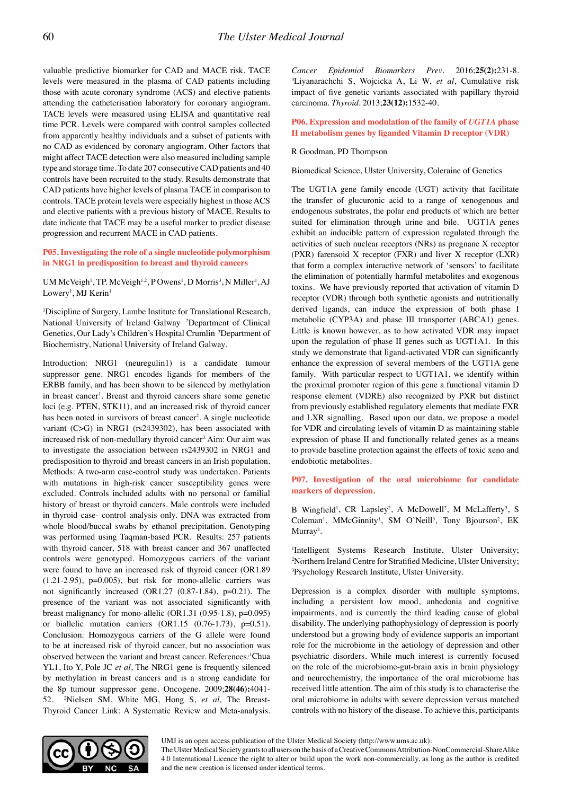valuable predictive biomarker for CAD and MACE risk. TACE levels were measured in the plasma of CAD patients including those with acute coronary syndrome (ACS) and elective patients attending the catheterisation laboratory for coronary angiogram. TACE levels were measured using ELISA and quantitative real time PCR. Levels were compared with control samples collected from apparently healthy individuals and a subset of patients with no CAD as evidenced by coronary angiogram. Other factors that might affect TACE detection were also measured including sample type and storage time. To date 207 consecutive CAD patients and 40 controls have been recruited to the study. Results demonstrate that CAD patients have higher levels of plasma TACE in comparison to controls. TACE protein levels were especially highest in those ACS and elective patients with a previous history of MACE. Results to date indicate that TACE may be a useful marker to predict disease progression and recurrent MACE in CAD patients.

# **P05. Investigating the role of a single nucleotide polymorphism in NRG1 in predisposition to breast and thyroid cancers**

UM McVeigh<sup>1</sup>, TP. McVeigh<sup>1,2</sup>, POwens<sup>1</sup>, D Morris<sup>3</sup>, N Miller<sup>1</sup>, AJ Lowery<sup>1</sup>, MJ Kerin<sup>1</sup>

1 Discipline of Surgery, Lambe Institute for Translational Research, National University of Ireland Galway <sup>2</sup>Department of Clinical Genetics, Our Lady's Children's Hospital Crumlin <sup>3</sup>Department of Biochemistry, National University of Ireland Galway.

Introduction: NRG1 (neuregulin1) is a candidate tumour suppressor gene. NRG1 encodes ligands for members of the ERBB family, and has been shown to be silenced by methylation in breast cancer<sup>1</sup>. Breast and thyroid cancers share some genetic loci (e.g. PTEN, STK11), and an increased risk of thyroid cancer has been noted in survivors of breast cancer<sup>2</sup>. A single nucleotide variant (C>G) in NRG1 (rs2439302), has been associated with increased risk of non-medullary thyroid cancer<sup>3.</sup> Aim: Our aim was to investigate the association between rs2439302 in NRG1 and predisposition to thyroid and breast cancers in an Irish population. Methods: A two-arm case-control study was undertaken. Patients with mutations in high-risk cancer susceptibility genes were excluded. Controls included adults with no personal or familial history of breast or thyroid cancers. Male controls were included in thyroid case- control analysis only. DNA was extracted from whole blood/buccal swabs by ethanol precipitation. Genotyping was performed using Taqman-based PCR. Results: 257 patients with thyroid cancer, 518 with breast cancer and 367 unaffected controls were genotyped. Homozygous carriers of the variant were found to have an increased risk of thyroid cancer (OR1.89  $(1.21-2.95)$ ,  $p=0.005$ ), but risk for mono-allelic carriers was not significantly increased  $(OR1.27 (0.87-1.84), p=0.21)$ . The presence of the variant was not associated significantly with breast malignancy for mono-allelic (OR1.31 (0.95-1.8), p=0.095) or biallelic mutation carriers (OR1.15 (0.76-1.73), p=0.51). Conclusion: Homozygous carriers of the G allele were found to be at increased risk of thyroid cancer, but no association was observed between the variant and breast cancer. References*:* 1 Chua YL1, Ito Y, Pole JC *et al*, The NRG1 gene is frequently silenced by methylation in breast cancers and is a strong candidate for the 8p tumour suppressor gene. Oncogene. 2009;**28(46):**4041- 52. 2 Nielsen SM, White MG, Hong S, *et al,* The Breast-Thyroid Cancer Link: A Systematic Review and Meta-analysis.

*Cancer Epidemiol Biomarkers Prev.* 2016;25(2):231-8. Liyanarachchi S, Wojcicka A, Li W, *et al*, Cumulative risk impact of five genetic variants associated with papillary thyroid carcinoma. *Thyroid*. 2013;**23(12):**1532-40.

**P06. Expression and modulation of the family of** *UGT1A* **phase II metabolism genes by liganded Vitamin D receptor (VDR)**

#### R Goodman, PD Thompson

Biomedical Science, Ulster University, Coleraine of Genetics

The UGT1A gene family encode (UGT) activity that facilitate the transfer of glucuronic acid to a range of xenogenous and endogenous substrates, the polar end products of which are better suited for elimination through urine and bile. UGT1A genes exhibit an inducible pattern of expression regulated through the activities of such nuclear receptors (NRs) as pregnane X receptor (PXR) farensoid X receptor (FXR) and liver X receptor (LXR) that form a complex interactive network of 'sensors' to facilitate the elimination of potentially harmful metabolites and exogenous toxins. We have previously reported that activation of vitamin D receptor (VDR) through both synthetic agonists and nutritionally derived ligands, can induce the expression of both phase I metabolic (CYP3A) and phase III transporter (ABCA1) genes. Little is known however, as to how activated VDR may impact upon the regulation of phase II genes such as UGT1A1. In this study we demonstrate that ligand-activated VDR can significantly enhance the expression of several members of the UGT1A gene family. With particular respect to UGT1A1, we identify within the proximal promoter region of this gene a functional vitamin D response element (VDRE) also recognized by PXR but distinct from previously established regulatory elements that mediate FXR and LXR signalling. Based upon our data, we propose a model for VDR and circulating levels of vitamin D as maintaining stable expression of phase II and functionally related genes as a means to provide baseline protection against the effects of toxic xeno and endobiotic metabolites.

#### **P07. Investigation of the oral microbiome for candidate markers of depression.**

B Wingfield<sup>1</sup>, CR Lapsley<sup>2</sup>, A McDowell<sup>2</sup>, M McLafferty<sup>3</sup>, S Coleman<sup>1</sup>, MMcGinnity<sup>1</sup>, SM O'Neill<sup>3</sup>, Tony Bjourson<sup>2</sup>, EK  $Murray<sup>2</sup>$ .

1 Intelligent Systems Research Institute, Ulster University; 2 Northern Ireland Centre for Stratified Medicine, Ulster University; 3 Psychology Research Institute, Ulster University.

Depression is a complex disorder with multiple symptoms, including a persistent low mood, anhedonia and cognitive impairments, and is currently the third leading cause of global disability. The underlying pathophysiology of depression is poorly understood but a growing body of evidence supports an important role for the microbiome in the aetiology of depression and other psychiatric disorders. While much interest is currently focused on the role of the microbiome-gut-brain axis in brain physiology and neurochemistry, the importance of the oral microbiome has received little attention. The aim of this study is to characterise the oral microbiome in adults with severe depression versus matched controls with no history of the disease. To achieve this, participants



UMJ is an open access publication of the Ulster Medical Society (http://www.ums.ac.uk).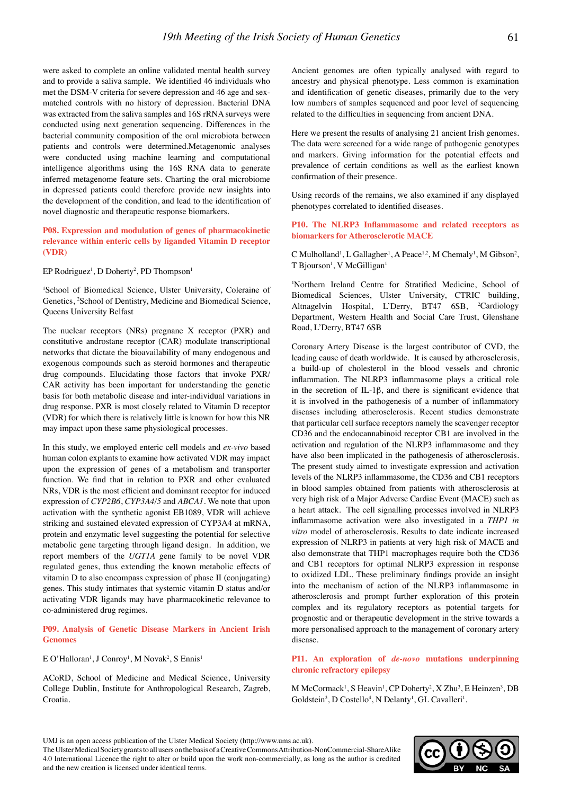were asked to complete an online validated mental health survey and to provide a saliva sample. We identified 46 individuals who met the DSM-V criteria for severe depression and 46 age and sexmatched controls with no history of depression. Bacterial DNA was extracted from the saliva samples and 16S rRNA surveys were conducted using next generation sequencing. Differences in the bacterial community composition of the oral microbiota between patients and controls were determined.Metagenomic analyses were conducted using machine learning and computational intelligence algorithms using the 16S RNA data to generate inferred metagenome feature sets. Charting the oral microbiome in depressed patients could therefore provide new insights into the development of the condition, and lead to the identification of novel diagnostic and therapeutic response biomarkers.

# **P08. Expression and modulation of genes of pharmacokinetic relevance within enteric cells by liganded Vitamin D receptor (VDR)**

EP Rodriguez<sup>1</sup>, D Doherty<sup>2</sup>, PD Thompson<sup>1</sup>

<sup>1</sup>School of Biomedical Science, Ulster University, Coleraine of Genetics, 2 School of Dentistry, Medicine and Biomedical Science, Queens University Belfast

The nuclear receptors (NRs) pregnane X receptor (PXR) and constitutive androstane receptor (CAR) modulate transcriptional networks that dictate the bioavailability of many endogenous and exogenous compounds such as steroid hormones and therapeutic drug compounds. Elucidating those factors that invoke PXR/ CAR activity has been important for understanding the genetic basis for both metabolic disease and inter-individual variations in drug response. PXR is most closely related to Vitamin D receptor (VDR) for which there is relatively little is known for how this NR may impact upon these same physiological processes.

In this study, we employed enteric cell models and *ex-vivo* based human colon explants to examine how activated VDR may impact upon the expression of genes of a metabolism and transporter function. We find that in relation to PXR and other evaluated NRs, VDR is the most efficient and dominant receptor for induced expression of *CYP2B6*, *CYP3A4/5* and *ABCA1*. We note that upon activation with the synthetic agonist EB1089, VDR will achieve striking and sustained elevated expression of CYP3A4 at mRNA, protein and enzymatic level suggesting the potential for selective metabolic gene targeting through ligand design. In addition, we report members of the *UGT1A* gene family to be novel VDR regulated genes, thus extending the known metabolic effects of vitamin D to also encompass expression of phase II (conjugating) genes. This study intimates that systemic vitamin D status and/or activating VDR ligands may have pharmacokinetic relevance to co-administered drug regimes.

#### **P09. Analysis of Genetic Disease Markers in Ancient Irish Genomes**

#### E O'Halloran<sup>1</sup>, J Conroy<sup>1</sup>, M Novak<sup>2</sup>, S Ennis<sup>1</sup>

ACoRD, School of Medicine and Medical Science, University College Dublin, Institute for Anthropological Research, Zagreb, Croatia.

Ancient genomes are often typically analysed with regard to ancestry and physical phenotype. Less common is examination and identification of genetic diseases, primarily due to the very low numbers of samples sequenced and poor level of sequencing related to the difficulties in sequencing from ancient DNA.

Here we present the results of analysing 21 ancient Irish genomes. The data were screened for a wide range of pathogenic genotypes and markers. Giving information for the potential effects and prevalence of certain conditions as well as the earliest known confirmation of their presence.

Using records of the remains, we also examined if any displayed phenotypes correlated to identified diseases.

# **P10. The NLRP3 Inflammasome and related receptors as biomarkers for Atherosclerotic MACE**

C Mulholland<sup>1</sup>, L Gallagher<sup>1</sup>, A Peace<sup>1,2</sup>, M Chemaly<sup>1</sup>, M Gibson<sup>2</sup>, T Bjourson<sup>1</sup>, V McGilligan<sup>1</sup>

1 Northern Ireland Centre for Stratified Medicine, School of Biomedical Sciences, Ulster University, CTRIC building, Altnagelvin Hospital, L'Derry, BT47 6SB, <sup>2</sup>Cardiology Department, Western Health and Social Care Trust, Glenshane Road, L'Derry, BT47 6SB

Coronary Artery Disease is the largest contributor of CVD, the leading cause of death worldwide. It is caused by atherosclerosis, a build-up of cholesterol in the blood vessels and chronic inflammation. The NLRP3 inflammasome plays a critical role in the secretion of IL-1 $\beta$ , and there is significant evidence that it is involved in the pathogenesis of a number of inflammatory diseases including atherosclerosis. Recent studies demonstrate that particular cell surface receptors namely the scavenger receptor CD36 and the endocannabinoid receptor CB1 are involved in the activation and regulation of the NLRP3 inflammasome and they have also been implicated in the pathogenesis of atherosclerosis. The present study aimed to investigate expression and activation levels of the NLRP3 inflammasome, the CD36 and CB1 receptors in blood samples obtained from patients with atherosclerosis at very high risk of a Major Adverse Cardiac Event (MACE) such as a heart attack. The cell signalling processes involved in NLRP3 inflammasome activation were also investigated in a *THP1 in vitro* model of atherosclerosis. Results to date indicate increased expression of NLRP3 in patients at very high risk of MACE and also demonstrate that THP1 macrophages require both the CD36 and CB1 receptors for optimal NLRP3 expression in response to oxidized LDL. These preliminary findings provide an insight into the mechanism of action of the NLRP3 inflammasome in atherosclerosis and prompt further exploration of this protein complex and its regulatory receptors as potential targets for prognostic and or therapeutic development in the strive towards a more personalised approach to the management of coronary artery disease.

# **P11. An exploration of** *de-novo* **mutations underpinning chronic refractory epilepsy**

M McCormack<sup>1</sup>, S Heavin<sup>1</sup>, CP Doherty<sup>2</sup>, X Zhu<sup>3</sup>, E Heinzen<sup>3</sup>, DB  $Goldstein<sup>3</sup>, D Costello<sup>4</sup>, N Delanty<sup>1</sup>, GL Cavalleri<sup>1</sup>.$ 



UMJ is an open access publication of the Ulster Medical Society (http://www.ums.ac.uk).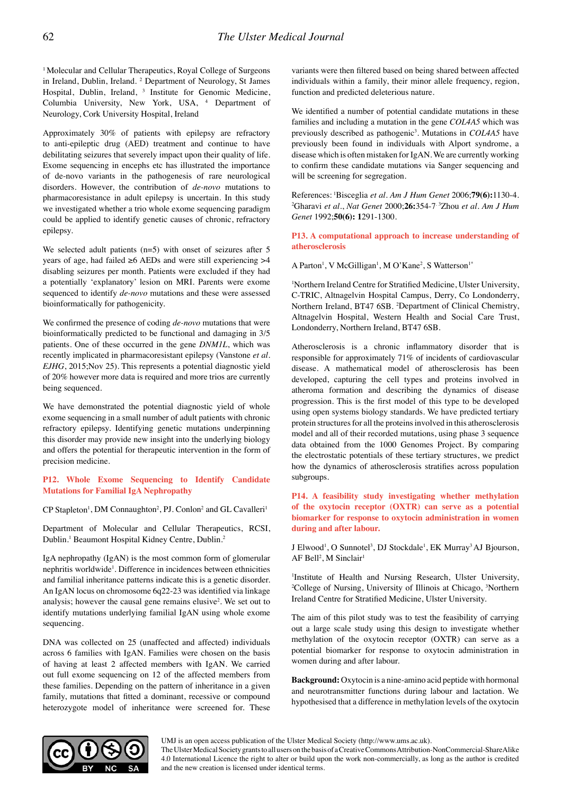<sup>1</sup> Molecular and Cellular Therapeutics, Royal College of Surgeons in Ireland, Dublin, Ireland. 2 Department of Neurology, St James Hospital, Dublin, Ireland, <sup>3</sup> Institute for Genomic Medicine, Columbia University, New York, USA, 4 Department of Neurology, Cork University Hospital, Ireland

Approximately 30% of patients with epilepsy are refractory to anti-epileptic drug (AED) treatment and continue to have debilitating seizures that severely impact upon their quality of life. Exome sequencing in encephs etc has illustrated the importance of de-novo variants in the pathogenesis of rare neurological disorders. However, the contribution of *de-novo* mutations to pharmacoresistance in adult epilepsy is uncertain. In this study we investigated whether a trio whole exome sequencing paradigm could be applied to identify genetic causes of chronic, refractory epilepsy.

We selected adult patients  $(n=5)$  with onset of seizures after 5 years of age, had failed ≥6 AEDs and were still experiencing >4 disabling seizures per month. Patients were excluded if they had a potentially 'explanatory' lesion on MRI. Parents were exome sequenced to identify *de-novo* mutations and these were assessed bioinformatically for pathogenicity.

We confirmed the presence of coding *de-novo* mutations that were bioinformatically predicted to be functional and damaging in 3/5 patients. One of these occurred in the gene *DNM1L*, which was recently implicated in pharmacoresistant epilepsy (Vanstone *et al. EJHG*, 2015;Nov 25). This represents a potential diagnostic yield of 20% however more data is required and more trios are currently being sequenced.

We have demonstrated the potential diagnostic yield of whole exome sequencing in a small number of adult patients with chronic refractory epilepsy. Identifying genetic mutations underpinning this disorder may provide new insight into the underlying biology and offers the potential for therapeutic intervention in the form of precision medicine.

# **P12. Whole Exome Sequencing to Identify Candidate Mutations for Familial IgA Nephropathy**

CP Stapleton<sup>1</sup>, DM Connaughton<sup>2</sup>, PJ. Conlon<sup>2</sup> and GL Cavalleri<sup>1</sup>

Department of Molecular and Cellular Therapeutics, RCSI, Dublin.<sup>1</sup> Beaumont Hospital Kidney Centre, Dublin.<sup>2</sup>

IgA nephropathy (IgAN) is the most common form of glomerular nephritis worldwide<sup>1</sup>. Difference in incidences between ethnicities and familial inheritance patterns indicate this is a genetic disorder. An IgAN locus on chromosome 6q22-23 was identified via linkage analysis; however the causal gene remains elusive<sup>2</sup>. We set out to identify mutations underlying familial IgAN using whole exome sequencing.

DNA was collected on 25 (unaffected and affected) individuals across 6 families with IgAN. Families were chosen on the basis of having at least 2 affected members with IgAN. We carried out full exome sequencing on 12 of the affected members from these families. Depending on the pattern of inheritance in a given family, mutations that fitted a dominant, recessive or compound heterozygote model of inheritance were screened for. These

variants were then filtered based on being shared between affected individuals within a family, their minor allele frequency, region, function and predicted deleterious nature.

We identified a number of potential candidate mutations in these families and including a mutation in the gene *COL4A5* which was previously described as pathogenic<sup>3</sup>. Mutations in *COL4A5* have previously been found in individuals with Alport syndrome, a disease which is often mistaken for IgAN. We are currently working to confirm these candidate mutations via Sanger sequencing and will be screening for segregation.

References: 1Bisceglia *et al. Am J Hum Genet* 2006;**79(6):**1130-4. 2 Gharavi *et al*., *Nat Genet* 2000;**26:**354-7. 3Zhou *et al. Am J Hum Genet* 1992;**50(6): 1**291-1300.

#### **P13. A computational approach to increase understanding of atherosclerosis**

A Parton<sup>1</sup>, V McGilligan<sup>1</sup>, M O'Kane<sup>2</sup>, S Watterson<sup>1\*</sup>

<sup>1</sup>Northern Ireland Centre for Stratified Medicine, Ulster University, C-TRIC, Altnagelvin Hospital Campus, Derry, Co Londonderry, Northern Ireland, BT47 6SB. <sup>2</sup>Department of Clinical Chemistry, Altnagelvin Hospital, Western Health and Social Care Trust, Londonderry, Northern Ireland, BT47 6SB.

Atherosclerosis is a chronic inflammatory disorder that is responsible for approximately 71% of incidents of cardiovascular disease. A mathematical model of atherosclerosis has been developed, capturing the cell types and proteins involved in atheroma formation and describing the dynamics of disease progression. This is the first model of this type to be developed using open systems biology standards. We have predicted tertiary protein structures for all the proteins involved in this atherosclerosis model and all of their recorded mutations, using phase 3 sequence data obtained from the 1000 Genomes Project. By comparing the electrostatic potentials of these tertiary structures, we predict how the dynamics of atherosclerosis stratifies across population subgroups.

# **P14. A feasibility study investigating whether methylation of the oxytocin receptor (OXTR) can serve as a potential biomarker for response to oxytocin administration in women during and after labour.**

J Elwood<sup>1</sup>, O Sunnotel<sup>3</sup>, DJ Stockdale<sup>1</sup>, EK Murray<sup>3</sup> AJ Bjourson, AF Bell<sup>2</sup>, M Sinclair<sup>1</sup>

1 Institute of Health and Nursing Research, Ulster University, <sup>2</sup>College of Nursing, University of Illinois at Chicago, <sup>3</sup>Northern Ireland Centre for Stratified Medicine, Ulster University.

The aim of this pilot study was to test the feasibility of carrying out a large scale study using this design to investigate whether methylation of the oxytocin receptor (OXTR) can serve as a potential biomarker for response to oxytocin administration in women during and after labour.

**Background:** Oxytocin is a nine-amino acid peptide with hormonal and neurotransmitter functions during labour and lactation. We hypothesised that a difference in methylation levels of the oxytocin

UMJ is an open access publication of the Ulster Medical Society (http://www.ums.ac.uk).

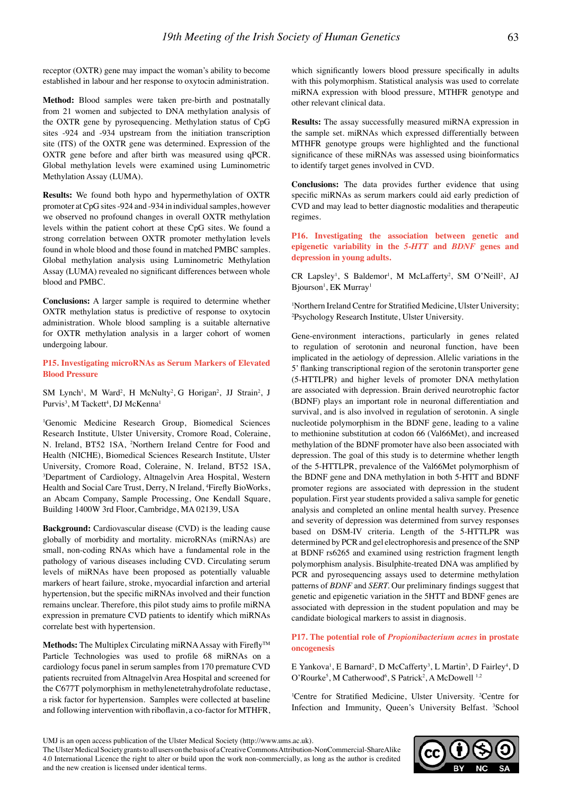receptor (OXTR) gene may impact the woman's ability to become established in labour and her response to oxytocin administration.

**Method:** Blood samples were taken pre-birth and postnatally from 21 women and subjected to DNA methylation analysis of the OXTR gene by pyrosequencing. Methylation status of CpG sites -924 and -934 upstream from the initiation transcription site (ITS) of the OXTR gene was determined. Expression of the OXTR gene before and after birth was measured using qPCR. Global methylation levels were examined using Luminometric Methylation Assay (LUMA).

**Results:** We found both hypo and hypermethylation of OXTR promoter at CpG sites -924 and -934 in individual samples, however we observed no profound changes in overall OXTR methylation levels within the patient cohort at these CpG sites. We found a strong correlation between OXTR promoter methylation levels found in whole blood and those found in matched PMBC samples. Global methylation analysis using Luminometric Methylation Assay (LUMA) revealed no significant differences between whole blood and PMBC.

**Conclusions:** A larger sample is required to determine whether OXTR methylation status is predictive of response to oxytocin administration. Whole blood sampling is a suitable alternative for OXTR methylation analysis in a larger cohort of women undergoing labour.

**P15. Investigating microRNAs as Serum Markers of Elevated Blood Pressure**

SM Lynch<sup>1</sup>, M Ward<sup>2</sup>, H McNulty<sup>2</sup>, G Horigan<sup>2</sup>, JJ Strain<sup>2</sup>, J Purvis<sup>3</sup>, M Tackett<sup>4</sup>, DJ McKenna<sup>1</sup>

1 Genomic Medicine Research Group, Biomedical Sciences Research Institute, Ulster University, Cromore Road, Coleraine, N. Ireland, BT52 1SA, 2 Northern Ireland Centre for Food and Health (NICHE), Biomedical Sciences Research Institute, Ulster University, Cromore Road, Coleraine, N. Ireland, BT52 1SA, 3 Department of Cardiology, Altnagelvin Area Hospital, Western Health and Social Care Trust, Derry, N Ireland, <sup>4</sup>Firefly BioWorks, an Abcam Company, Sample Processing, One Kendall Square, Building 1400W 3rd Floor, Cambridge, MA 02139, USA

**Background:** Cardiovascular disease (CVD) is the leading cause globally of morbidity and mortality. microRNAs (miRNAs) are small, non-coding RNAs which have a fundamental role in the pathology of various diseases including CVD. Circulating serum levels of miRNAs have been proposed as potentially valuable markers of heart failure, stroke, myocardial infarction and arterial hypertension, but the specific miRNAs involved and their function remains unclear. Therefore, this pilot study aims to profile miRNA expression in premature CVD patients to identify which miRNAs correlate best with hypertension.

Methods: The Multiplex Circulating miRNA Assay with Firefly<sup>™</sup> Particle Technologies was used to profile 68 miRNAs on a cardiology focus panel in serum samples from 170 premature CVD patients recruited from Altnagelvin Area Hospital and screened for the C677T polymorphism in methylenetetrahydrofolate reductase, a risk factor for hypertension. Samples were collected at baseline and following intervention with riboflavin, a co-factor for MTHFR, which significantly lowers blood pressure specifically in adults with this polymorphism. Statistical analysis was used to correlate miRNA expression with blood pressure, MTHFR genotype and other relevant clinical data.

**Results:** The assay successfully measured miRNA expression in the sample set. miRNAs which expressed differentially between MTHFR genotype groups were highlighted and the functional significance of these miRNAs was assessed using bioinformatics to identify target genes involved in CVD.

**Conclusions:** The data provides further evidence that using specific miRNAs as serum markers could aid early prediction of CVD and may lead to better diagnostic modalities and therapeutic regimes.

**P16. Investigating the association between genetic and epigenetic variability in the** *5-HTT* **and** *BDNF* **genes and depression in young adults.**

CR Lapsley<sup>1</sup>, S Baldemor<sup>1</sup>, M McLafferty<sup>2</sup>, SM O'Neill<sup>2</sup>, AJ Bjourson<sup>1</sup>, EK Murray<sup>1</sup>

1 Northern Ireland Centre for Stratified Medicine, Ulster University; 2 Psychology Research Institute, Ulster University.

Gene-environment interactions, particularly in genes related to regulation of serotonin and neuronal function, have been implicated in the aetiology of depression. Allelic variations in the 5' flanking transcriptional region of the serotonin transporter gene (5-HTTLPR) and higher levels of promoter DNA methylation are associated with depression. Brain derived neurotrophic factor (BDNF) plays an important role in neuronal differentiation and survival, and is also involved in regulation of serotonin. A single nucleotide polymorphism in the BDNF gene, leading to a valine to methionine substitution at codon 66 (Val66Met), and increased methylation of the BDNF promoter have also been associated with depression. The goal of this study is to determine whether length of the 5-HTTLPR, prevalence of the Val66Met polymorphism of the BDNF gene and DNA methylation in both 5-HTT and BDNF promoter regions are associated with depression in the student population. First year students provided a saliva sample for genetic analysis and completed an online mental health survey. Presence and severity of depression was determined from survey responses based on DSM-IV criteria. Length of the 5-HTTLPR was determined by PCR and gel electrophoresis and presence of the SNP at BDNF rs6265 and examined using restriction fragment length polymorphism analysis. Bisulphite-treated DNA was amplified by PCR and pyrosequencing assays used to determine methylation patterns of *BDNF* and *SERT.* Our preliminary findings suggest that genetic and epigenetic variation in the 5HTT and BDNF genes are associated with depression in the student population and may be candidate biological markers to assist in diagnosis.

**P17. The potential role of** *Propionibacterium acnes* **in prostate oncogenesis**

E Yankova<sup>1</sup>, E Barnard<sup>2</sup>, D McCafferty<sup>3</sup>, L Martin<sup>3</sup>, D Fairley<sup>4</sup>, D O'Rourke<sup>5</sup>, M Catherwood<sup>6</sup>, S Patrick<sup>2</sup>, A McDowell<sup>1,2</sup>

<sup>1</sup>Centre for Stratified Medicine, Ulster University. <sup>2</sup>Centre for Infection and Immunity, Queen's University Belfast. <sup>3</sup>School



UMJ is an open access publication of the Ulster Medical Society (http://www.ums.ac.uk).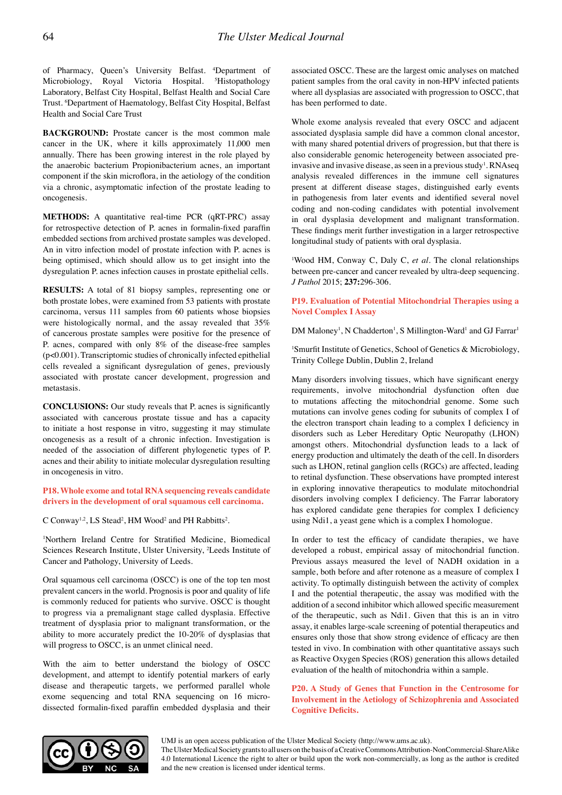of Pharmacy, Queen's University Belfast. 4 Department of Microbiology, Royal Victoria Hospital. <sup>5</sup>Histopathology Laboratory, Belfast City Hospital, Belfast Health and Social Care Trust. 6 Department of Haematology, Belfast City Hospital, Belfast Health and Social Care Trust

**BACKGROUND:** Prostate cancer is the most common male cancer in the UK, where it kills approximately 11,000 men annually. There has been growing interest in the role played by the anaerobic bacterium Propionibacterium acnes, an important component if the skin microflora, in the aetiology of the condition via a chronic, asymptomatic infection of the prostate leading to oncogenesis.

**METHODS:** A quantitative real-time PCR (qRT-PRC) assay for retrospective detection of P. acnes in formalin-fixed paraffin embedded sections from archived prostate samples was developed. An in vitro infection model of prostate infection with P. acnes is being optimised, which should allow us to get insight into the dysregulation P. acnes infection causes in prostate epithelial cells.

**RESULTS:** A total of 81 biopsy samples, representing one or both prostate lobes, were examined from 53 patients with prostate carcinoma, versus 111 samples from 60 patients whose biopsies were histologically normal, and the assay revealed that 35% of cancerous prostate samples were positive for the presence of P. acnes, compared with only 8% of the disease-free samples (p<0.001). Transcriptomic studies of chronically infected epithelial cells revealed a significant dysregulation of genes, previously associated with prostate cancer development, progression and metastasis.

**CONCLUSIONS:** Our study reveals that P. acnes is significantly associated with cancerous prostate tissue and has a capacity to initiate a host response in vitro, suggesting it may stimulate oncogenesis as a result of a chronic infection. Investigation is needed of the association of different phylogenetic types of P. acnes and their ability to initiate molecular dysregulation resulting in oncogenesis in vitro.

**P18. Whole exome and total RNA sequencing reveals candidate drivers in the development of oral squamous cell carcinoma.**

 $C$  Conway<sup>1,2</sup>, LS Stead<sup>2</sup>, HM Wood<sup>2</sup> and PH Rabbitts<sup>2</sup>.

1 Northern Ireland Centre for Stratified Medicine, Biomedical Sciences Research Institute, Ulster University, 2 Leeds Institute of Cancer and Pathology, University of Leeds.

Oral squamous cell carcinoma (OSCC) is one of the top ten most prevalent cancers in the world. Prognosis is poor and quality of life is commonly reduced for patients who survive. OSCC is thought to progress via a premalignant stage called dysplasia. Effective treatment of dysplasia prior to malignant transformation, or the ability to more accurately predict the 10-20% of dysplasias that will progress to OSCC, is an unmet clinical need.

With the aim to better understand the biology of OSCC development, and attempt to identify potential markers of early disease and therapeutic targets, we performed parallel whole exome sequencing and total RNA sequencing on 16 microdissected formalin-fixed paraffin embedded dysplasia and their associated OSCC. These are the largest omic analyses on matched patient samples from the oral cavity in non-HPV infected patients where all dysplasias are associated with progression to OSCC, that has been performed to date.

Whole exome analysis revealed that every OSCC and adjacent associated dysplasia sample did have a common clonal ancestor, with many shared potential drivers of progression, but that there is also considerable genomic heterogeneity between associated preinvasive and invasive disease, as seen in a previous study<sup>1</sup>. RNAseq analysis revealed differences in the immune cell signatures present at different disease stages, distinguished early events in pathogenesis from later events and identified several novel coding and non-coding candidates with potential involvement in oral dysplasia development and malignant transformation. These findings merit further investigation in a larger retrospective longitudinal study of patients with oral dysplasia.

<sup>1</sup>Wood HM, Conway C, Daly C, *et al*. The clonal relationships between pre-cancer and cancer revealed by ultra-deep sequencing. *J Pathol* 2015; **237:**296-306.

## **P19. Evaluation of Potential Mitochondrial Therapies using a Novel Complex I Assay**

DM Maloney<sup>1</sup>, N Chadderton<sup>1</sup>, S Millington-Ward<sup>1</sup> and GJ Farrar<sup>1</sup>

1 Smurfit Institute of Genetics, School of Genetics & Microbiology, Trinity College Dublin, Dublin 2, Ireland

Many disorders involving tissues, which have significant energy requirements, involve mitochondrial dysfunction often due to mutations affecting the mitochondrial genome. Some such mutations can involve genes coding for subunits of complex I of the electron transport chain leading to a complex I deficiency in disorders such as Leber Hereditary Optic Neuropathy (LHON) amongst others. Mitochondrial dysfunction leads to a lack of energy production and ultimately the death of the cell. In disorders such as LHON, retinal ganglion cells (RGCs) are affected, leading to retinal dysfunction. These observations have prompted interest in exploring innovative therapeutics to modulate mitochondrial disorders involving complex I deficiency. The Farrar laboratory has explored candidate gene therapies for complex I deficiency using Ndi1, a yeast gene which is a complex I homologue.

In order to test the efficacy of candidate therapies, we have developed a robust, empirical assay of mitochondrial function. Previous assays measured the level of NADH oxidation in a sample, both before and after rotenone as a measure of complex I activity. To optimally distinguish between the activity of complex I and the potential therapeutic, the assay was modified with the addition of a second inhibitor which allowed specific measurement of the therapeutic, such as Ndi1. Given that this is an in vitro assay, it enables large-scale screening of potential therapeutics and ensures only those that show strong evidence of efficacy are then tested in vivo. In combination with other quantitative assays such as Reactive Oxygen Species (ROS) generation this allows detailed evaluation of the health of mitochondria within a sample.

**P20. A Study of Genes that Function in the Centrosome for Involvement in the Aetiology of Schizophrenia and Associated Cognitive Deficits.**

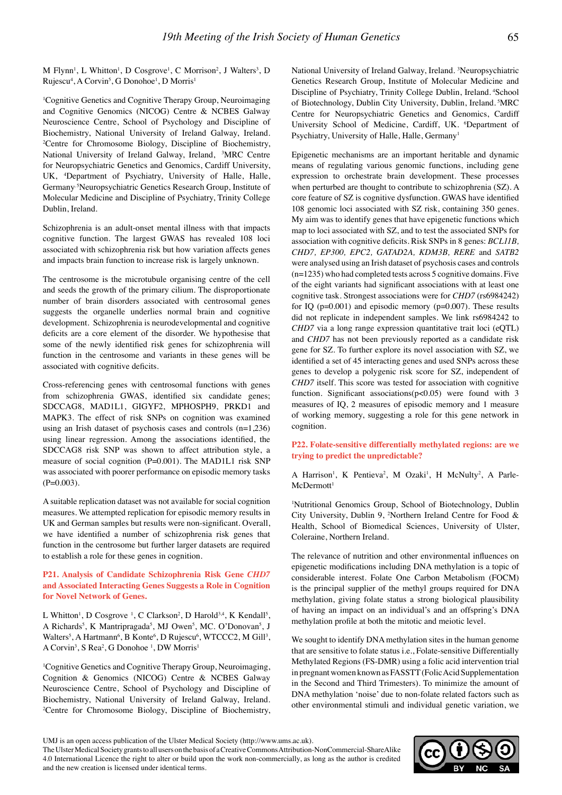M Flynn<sup>1</sup>, L Whitton<sup>1</sup>, D Cosgrove<sup>1</sup>, C Morrison<sup>2</sup>, J Walters<sup>3</sup>, D Rujescu<sup>4</sup>, A Corvin<sup>5</sup>, G Donohoe<sup>1</sup>, D Morris<sup>1</sup>

<sup>1</sup>Cognitive Genetics and Cognitive Therapy Group, Neuroimaging and Cognitive Genomics (NICOG) Centre & NCBES Galway Neuroscience Centre, School of Psychology and Discipline of Biochemistry, National University of Ireland Galway, Ireland. 2 Centre for Chromosome Biology, Discipline of Biochemistry, National University of Ireland Galway, Ireland, 3MRC Centre for Neuropsychiatric Genetics and Genomics, Cardiff University, UK, 4Department of Psychiatry, University of Halle, Halle, Germany, 5Neuropsychiatric Genetics Research Group, Institute of Molecular Medicine and Discipline of Psychiatry, Trinity College Dublin, Ireland.

Schizophrenia is an adult-onset mental illness with that impacts cognitive function. The largest GWAS has revealed 108 loci associated with schizophrenia risk but how variation affects genes and impacts brain function to increase risk is largely unknown.

The centrosome is the microtubule organising centre of the cell and seeds the growth of the primary cilium. The disproportionate number of brain disorders associated with centrosomal genes suggests the organelle underlies normal brain and cognitive development. Schizophrenia is neurodevelopmental and cognitive deficits are a core element of the disorder. We hypothesise that some of the newly identified risk genes for schizophrenia will function in the centrosome and variants in these genes will be associated with cognitive deficits.

Cross-referencing genes with centrosomal functions with genes from schizophrenia GWAS, identified six candidate genes; SDCCAG8, MAD1L1, GIGYF2, MPHOSPH9, PRKD1 and MAPK3. The effect of risk SNPs on cognition was examined using an Irish dataset of psychosis cases and controls (n=1,236) using linear regression. Among the associations identified, the SDCCAG8 risk SNP was shown to affect attribution style, a measure of social cognition (P=0.001). The MAD1L1 risk SNP was associated with poorer performance on episodic memory tasks  $(P=0.003)$ .

A suitable replication dataset was not available for social cognition measures. We attempted replication for episodic memory results in UK and German samples but results were non-significant. Overall, we have identified a number of schizophrenia risk genes that function in the centrosome but further larger datasets are required to establish a role for these genes in cognition.

# **P21. Analysis of Candidate Schizophrenia Risk Gene** *CHD7* **and Associated Interacting Genes Suggests a Role in Cognition for Novel Network of Genes.**

L Whitton<sup>1</sup>, D Cosgrove <sup>1</sup>, C Clarkson<sup>2</sup>, D Harold<sup>3,4</sup>, K Kendall<sup>5</sup>, A Richards<sup>5</sup>, K Mantripragada<sup>5</sup>, MJ Owen<sup>5</sup>, MC. O'Donovan<sup>5</sup>, J Walters<sup>5</sup>, A Hartmann<sup>6</sup>, B Konte<sup>6</sup>, D Rujescu<sup>6</sup>, WTCCC2, M Gill<sup>3</sup>, A Corvin<sup>3</sup>, S Rea<sup>2</sup>, G Donohoe<sup>1</sup>, DW Morris<sup>1</sup>

<sup>1</sup>Cognitive Genetics and Cognitive Therapy Group, Neuroimaging, Cognition & Genomics (NICOG) Centre & NCBES Galway Neuroscience Centre, School of Psychology and Discipline of Biochemistry, National University of Ireland Galway, Ireland. 2 Centre for Chromosome Biology, Discipline of Biochemistry,

National University of Ireland Galway, Ireland. 3 Neuropsychiatric Genetics Research Group, Institute of Molecular Medicine and Discipline of Psychiatry, Trinity College Dublin, Ireland. 4School of Biotechnology, Dublin City University, Dublin, Ireland. 5MRC Centre for Neuropsychiatric Genetics and Genomics, Cardiff University School of Medicine, Cardiff, UK. <sup>6</sup>Department of Psychiatry, University of Halle, Halle, Germany<sup>1</sup>

Epigenetic mechanisms are an important heritable and dynamic means of regulating various genomic functions, including gene expression to orchestrate brain development. These processes when perturbed are thought to contribute to schizophrenia (SZ). A core feature of SZ is cognitive dysfunction. GWAS have identified 108 genomic loci associated with SZ risk, containing 350 genes. My aim was to identify genes that have epigenetic functions which map to loci associated with SZ, and to test the associated SNPs for association with cognitive deficits. Risk SNPs in 8 genes: *BCL11B, CHD7, EP300, EPC2, GATAD2A, KDM3B, RERE* and *SATB2* were analysed using an Irish dataset of psychosis cases and controls (n=1235) who had completed tests across 5 cognitive domains. Five of the eight variants had significant associations with at least one cognitive task. Strongest associations were for *CHD7* (rs6984242) for IQ ( $p=0.001$ ) and episodic memory ( $p=0.007$ ). These results did not replicate in independent samples. We link rs6984242 to *CHD7* via a long range expression quantitative trait loci (eQTL) and *CHD7* has not been previously reported as a candidate risk gene for SZ. To further explore its novel association with SZ, we identified a set of 45 interacting genes and used SNPs across these genes to develop a polygenic risk score for SZ, independent of *CHD7* itself. This score was tested for association with cognitive function. Significant associations( $p<0.05$ ) were found with 3 measures of IQ, 2 measures of episodic memory and 1 measure of working memory, suggesting a role for this gene network in cognition.

**P22. Folate-sensitive differentially methylated regions: are we trying to predict the unpredictable?**

A Harrison<sup>1</sup>, K Pentieva<sup>2</sup>, M Ozaki<sup>1</sup>, H McNulty<sup>2</sup>, A Parle- $McDermott<sup>1</sup>$ 

<sup>1</sup>Nutritional Genomics Group, School of Biotechnology, Dublin City University, Dublin 9, 2 Northern Ireland Centre for Food & Health, School of Biomedical Sciences, University of Ulster, Coleraine, Northern Ireland.

The relevance of nutrition and other environmental influences on epigenetic modifications including DNA methylation is a topic of considerable interest. Folate One Carbon Metabolism (FOCM) is the principal supplier of the methyl groups required for DNA methylation, giving folate status a strong biological plausibility of having an impact on an individual's and an offspring's DNA methylation profile at both the mitotic and meiotic level.

We sought to identify DNA methylation sites in the human genome that are sensitive to folate status i.e., Folate-sensitive Differentially Methylated Regions (FS-DMR) using a folic acid intervention trial in pregnant women known as FASSTT (Folic Acid Supplementation in the Second and Third Trimesters). To minimize the amount of DNA methylation 'noise' due to non-folate related factors such as other environmental stimuli and individual genetic variation, we



UMJ is an open access publication of the Ulster Medical Society (http://www.ums.ac.uk).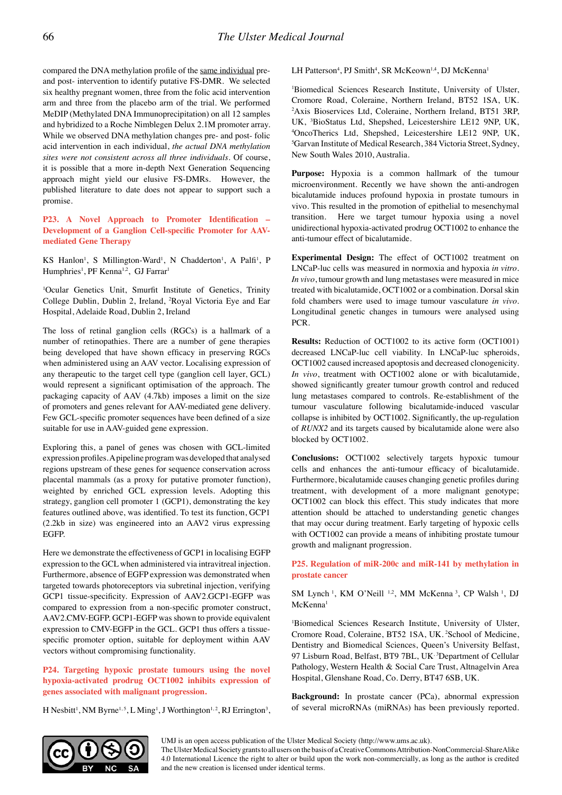compared the DNA methylation profile of the same individual preand post- intervention to identify putative FS-DMR. We selected six healthy pregnant women, three from the folic acid intervention arm and three from the placebo arm of the trial. We performed MeDIP (Methylated DNA Immunoprecipitation) on all 12 samples and hybridized to a Roche Nimblegen Delux 2.1M promoter array. While we observed DNA methylation changes pre- and post- folic acid intervention in each individual, *the actual DNA methylation sites were not consistent across all three individuals*. Of course, it is possible that a more in-depth Next Generation Sequencing approach might yield our elusive FS-DMRs. However, the published literature to date does not appear to support such a promise.

**P23. A Novel Approach to Promoter Identification – Development of a Ganglion Cell-specific Promoter for AAVmediated Gene Therapy**

KS Hanlon<sup>1</sup>, S Millington-Ward<sup>1</sup>, N Chadderton<sup>1</sup>, A Palfi<sup>1</sup>, P Humphries<sup>1</sup>, PF Kenna<sup>1,2</sup>, GJ Farrar<sup>1</sup>

1 Ocular Genetics Unit, Smurfit Institute of Genetics, Trinity College Dublin, Dublin 2, Ireland, 2 Royal Victoria Eye and Ear Hospital, Adelaide Road, Dublin 2, Ireland

The loss of retinal ganglion cells (RGCs) is a hallmark of a number of retinopathies. There are a number of gene therapies being developed that have shown efficacy in preserving RGCs when administered using an AAV vector. Localising expression of any therapeutic to the target cell type (ganglion cell layer, GCL) would represent a significant optimisation of the approach. The packaging capacity of AAV (4.7kb) imposes a limit on the size of promoters and genes relevant for AAV-mediated gene delivery. Few GCL-specific promoter sequences have been defined of a size suitable for use in AAV-guided gene expression.

Exploring this, a panel of genes was chosen with GCL-limited expression profiles. A pipeline program was developed that analysed regions upstream of these genes for sequence conservation across placental mammals (as a proxy for putative promoter function), weighted by enriched GCL expression levels. Adopting this strategy, ganglion cell promoter 1 (GCP1), demonstrating the key features outlined above, was identified. To test its function, GCP1 (2.2kb in size) was engineered into an AAV2 virus expressing EGFP.

Here we demonstrate the effectiveness of GCP1 in localising EGFP expression to the GCL when administered via intravitreal injection. Furthermore, absence of EGFP expression was demonstrated when targeted towards photoreceptors via subretinal injection, verifying GCP1 tissue-specificity. Expression of AAV2.GCP1-EGFP was compared to expression from a non-specific promoter construct, AAV2.CMV-EGFP. GCP1-EGFP was shown to provide equivalent expression to CMV-EGFP in the GCL. GCP1 thus offers a tissuespecific promoter option, suitable for deployment within AAV vectors without compromising functionality.

**P24. Targeting hypoxic prostate tumours using the novel hypoxia-activated prodrug OCT1002 inhibits expression of genes associated with malignant progression.**

H Nesbitt<sup>1</sup>, NM Byrne<sup>1,5</sup>, L Ming<sup>1</sup>, J Worthington<sup>1,2</sup>, RJ Errington<sup>3</sup>,

LH Patterson<sup>4</sup>, PJ Smith<sup>4</sup>, SR McKeown<sup>1,4</sup>, DJ McKenna<sup>1</sup>

1 Biomedical Sciences Research Institute, University of Ulster, Cromore Road, Coleraine, Northern Ireland, BT52 1SA, UK. 2 Axis Bioservices Ltd, Coleraine, Northern Ireland, BT51 3RP, UK, <sup>3</sup>BioStatus Ltd, Shepshed, Leicestershire LE12 9NP, UK, 4OncoTherics Ltd, Shepshed, Leicestershire LE12 9NP, UK OncoTherics Ltd, Shepshed, Leicestershire LE12 9NP, UK, 5 Garvan Institute of Medical Research, 384 Victoria Street, Sydney, New South Wales 2010, Australia.

**Purpose:** Hypoxia is a common hallmark of the tumour microenvironment. Recently we have shown the anti-androgen bicalutamide induces profound hypoxia in prostate tumours in vivo. This resulted in the promotion of epithelial to mesenchymal transition. Here we target tumour hypoxia using a novel unidirectional hypoxia-activated prodrug OCT1002 to enhance the anti-tumour effect of bicalutamide.

**Experimental Design:** The effect of OCT1002 treatment on LNCaP-luc cells was measured in normoxia and hypoxia *in vitro*. *In vivo*, tumour growth and lung metastases were measured in mice treated with bicalutamide, OCT1002 or a combination. Dorsal skin fold chambers were used to image tumour vasculature *in vivo*. Longitudinal genetic changes in tumours were analysed using PCR.

**Results:** Reduction of OCT1002 to its active form (OCT1001) decreased LNCaP-luc cell viability. In LNCaP-luc spheroids, OCT1002 caused increased apoptosis and decreased clonogenicity. *In vivo*, treatment with OCT1002 alone or with bicalutamide, showed significantly greater tumour growth control and reduced lung metastases compared to controls. Re-establishment of the tumour vasculature following bicalutamide-induced vascular collapse is inhibited by OCT1002. Significantly, the up-regulation of *RUNX2* and its targets caused by bicalutamide alone were also blocked by OCT1002.

**Conclusions:** OCT1002 selectively targets hypoxic tumour cells and enhances the anti-tumour efficacy of bicalutamide. Furthermore, bicalutamide causes changing genetic profiles during treatment, with development of a more malignant genotype; OCT1002 can block this effect. This study indicates that more attention should be attached to understanding genetic changes that may occur during treatment. Early targeting of hypoxic cells with OCT1002 can provide a means of inhibiting prostate tumour growth and malignant progression.

**P25. Regulation of miR-200c and miR-141 by methylation in prostate cancer**

SM Lynch<sup>1</sup>, KM O'Neill<sup>1,2</sup>, MM McKenna<sup>3</sup>, CP Walsh<sup>1</sup>, DJ McKenna<sup>1</sup>

1 Biomedical Sciences Research Institute, University of Ulster, Cromore Road, Coleraine, BT52 1SA, UK. 2School of Medicine, Dentistry and Biomedical Sciences, Queen's University Belfast, 97 Lisburn Road, Belfast, BT9 7BL, UK,<sup>3</sup>Department of Cellular Pathology, Western Health & Social Care Trust, Altnagelvin Area Hospital, Glenshane Road, Co. Derry, BT47 6SB, UK.

**Background:** In prostate cancer (PCa), abnormal expression of several microRNAs (miRNAs) has been previously reported.



UMJ is an open access publication of the Ulster Medical Society (http://www.ums.ac.uk).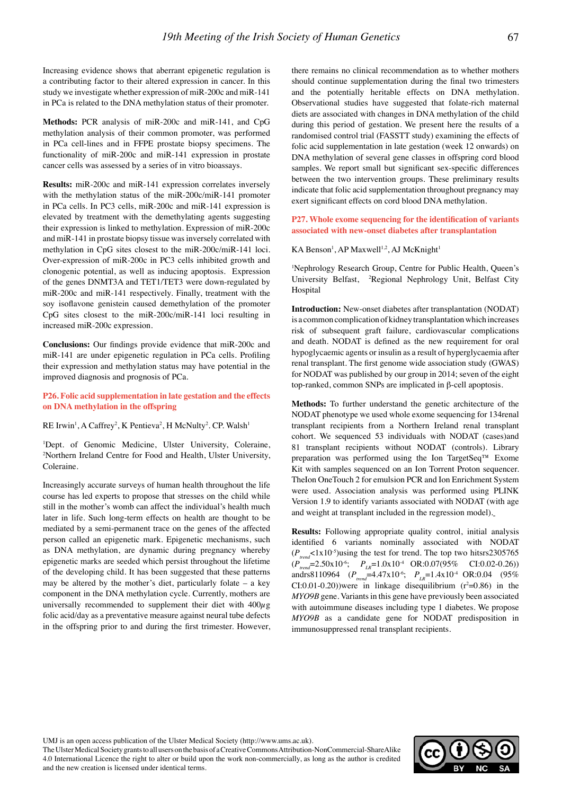Increasing evidence shows that aberrant epigenetic regulation is a contributing factor to their altered expression in cancer. In this study we investigate whether expression of miR-200c and miR-141 in PCa is related to the DNA methylation status of their promoter.

**Methods:** PCR analysis of miR-200c and miR-141, and CpG methylation analysis of their common promoter, was performed in PCa cell-lines and in FFPE prostate biopsy specimens. The functionality of miR-200c and miR-141 expression in prostate cancer cells was assessed by a series of in vitro bioassays.

**Results:** miR-200c and miR-141 expression correlates inversely with the methylation status of the miR-200c/miR-141 promoter in PCa cells. In PC3 cells, miR-200c and miR-141 expression is elevated by treatment with the demethylating agents suggesting their expression is linked to methylation. Expression of miR-200c and miR-141 in prostate biopsy tissue was inversely correlated with methylation in CpG sites closest to the miR-200c/miR-141 loci. Over-expression of miR-200c in PC3 cells inhibited growth and clonogenic potential, as well as inducing apoptosis. Expression of the genes DNMT3A and TET1/TET3 were down-regulated by miR-200c and miR-141 respectively. Finally, treatment with the soy isoflavone genistein caused demethylation of the promoter CpG sites closest to the miR-200c/miR-141 loci resulting in increased miR-200c expression.

**Conclusions:** Our findings provide evidence that miR-200c and miR-141 are under epigenetic regulation in PCa cells. Profiling their expression and methylation status may have potential in the improved diagnosis and prognosis of PCa.

**P26. Folic acid supplementation in late gestation and the effects on DNA methylation in the offspring**

RE Irwin<sup>1</sup>, A Caffrey<sup>2</sup>, K Pentieva<sup>2</sup>, H McNulty<sup>2</sup>. CP. Walsh<sup>1</sup>

1 Dept. of Genomic Medicine, Ulster University, Coleraine, 2 Northern Ireland Centre for Food and Health, Ulster University, Coleraine.

Increasingly accurate surveys of human health throughout the life course has led experts to propose that stresses on the child while still in the mother's womb can affect the individual's health much later in life. Such long-term effects on health are thought to be mediated by a semi-permanent trace on the genes of the affected person called an epigenetic mark. Epigenetic mechanisms, such as DNA methylation, are dynamic during pregnancy whereby epigenetic marks are seeded which persist throughout the lifetime of the developing child. It has been suggested that these patterns may be altered by the mother's diet, particularly folate – a key component in the DNA methylation cycle. Currently, mothers are universally recommended to supplement their diet with  $400\mu$ g folic acid/day as a preventative measure against neural tube defects in the offspring prior to and during the first trimester. However, there remains no clinical recommendation as to whether mothers should continue supplementation during the final two trimesters and the potentially heritable effects on DNA methylation. Observational studies have suggested that folate-rich maternal diets are associated with changes in DNA methylation of the child during this period of gestation. We present here the results of a randomised control trial (FASSTT study) examining the effects of folic acid supplementation in late gestation (week 12 onwards) on DNA methylation of several gene classes in offspring cord blood samples. We report small but significant sex-specific differences between the two intervention groups. These preliminary results indicate that folic acid supplementation throughout pregnancy may exert significant effects on cord blood DNA methylation.

**P27. Whole exome sequencing for the identification of variants associated with new-onset diabetes after transplantation**

KA Benson<sup>1</sup>, AP Maxwell<sup>1,2</sup>, AJ McKnight<sup>1</sup>

1 Nephrology Research Group, Centre for Public Health, Queen's University Belfast, <sup>2</sup>Regional Nephrology Unit, Belfast City Hospital

**Introduction:** New-onset diabetes after transplantation (NODAT) is a common complication of kidney transplantation which increases risk of subsequent graft failure, cardiovascular complications and death. NODAT is defined as the new requirement for oral hypoglycaemic agents or insulin as a result of hyperglycaemia after renal transplant. The first genome wide association study (GWAS) for NODAT was published by our group in 2014; seven of the eight top-ranked, common SNPs are implicated in β-cell apoptosis.

**Methods:** To further understand the genetic architecture of the NODAT phenotype we used whole exome sequencing for 134renal transplant recipients from a Northern Ireland renal transplant cohort. We sequenced 53 individuals with NODAT (cases)and 81 transplant recipients without NODAT (controls). Library preparation was performed using the Ion TargetSeq™ Exome Kit with samples sequenced on an Ion Torrent Proton sequencer. TheIon OneTouch 2 for emulsion PCR and Ion Enrichment System were used. Association analysis was performed using PLINK Version 1.9 to identify variants associated with NODAT (with age and weight at transplant included in the regression model).

**Results:** Following appropriate quality control, initial analysis identified 6 variants nominally associated with NODAT  $(P_{trend} < 1x10^{-5})$ using the test for trend. The top two hitsrs2305765 (*Ptrend*=2.50x10-6; *PLR*=1.0x10-4 OR:0.07(95% CI:0.02-0.26)) andrs8110964 ( $P_{trend}$ =4.47x10<sup>-6</sup>;  $P_{LR}$ =1.4x10<sup>-4</sup> OR:0.04 (95%)  $CI: 0.01-0.20$ ) were in linkage disequilibrium  $(r^2=0.86)$  in the *MYO9B* gene. Variants in this gene have previously been associated with autoimmune diseases including type 1 diabetes. We propose *MYO9B* as a candidate gene for NODAT predisposition in immunosuppressed renal transplant recipients.

UMJ is an open access publication of the Ulster Medical Society (http://www.ums.ac.uk).